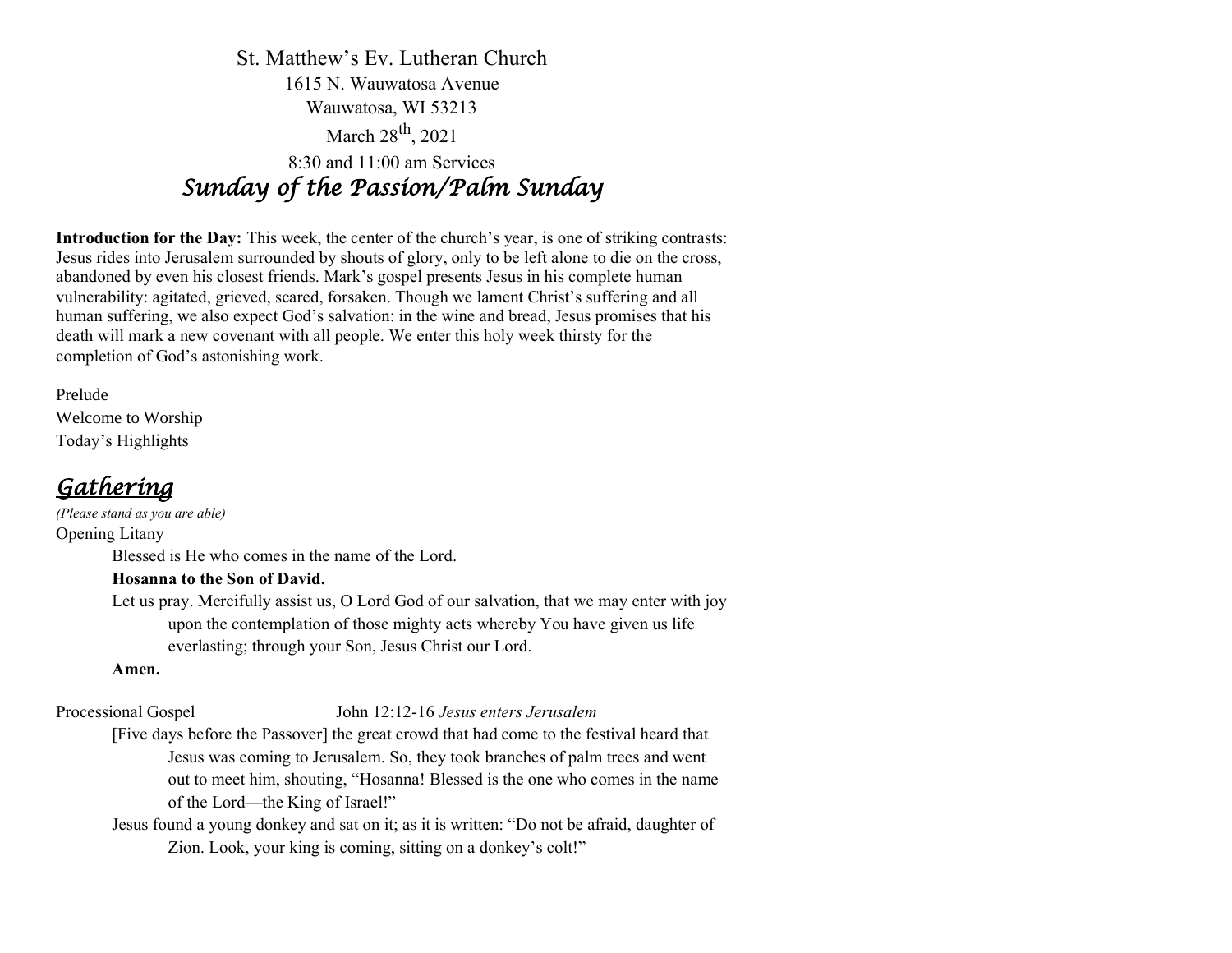St. Matthew's Ev. Lutheran Church 1615 N. Wauwatosa Avenue Wauwatosa, WI 53213 March 28<sup>th</sup>, 2021 8:30 and 11:00 am Services *Sunday of the Passion/Palm Sunday* 

**Introduction for the Day:** This week, the center of the church's year, is one of striking contrasts: Jesus rides into Jerusalem surrounded by shouts of glory, only to be left alone to die on the cross, abandoned by even his closest friends. Mark's gospel presents Jesus in his complete human vulnerability: agitated, grieved, scared, forsaken. Though we lament Christ's suffering and all human suffering, we also expect God's salvation: in the wine and bread, Jesus promises that his death will mark a new covenant with all people. We enter this holy week thirsty for the completion of God's astonishing work.

Prelude Welcome to Worship Today's Highlights

### *Gathering*

*(Please stand as you are able)* Opening Litany Blessed is He who comes in the name of the Lord.

### **Hosanna to the Son of David.**

Let us pray. Mercifully assist us, O Lord God of our salvation, that we may enter with joy upon the contemplation of those mighty acts whereby You have given us life everlasting; through your Son, Jesus Christ our Lord.

### **Amen.**

### Processional Gospel John 12:12-16 *Jesus enters Jerusalem*

[Five days before the Passover] the great crowd that had come to the festival heard that Jesus was coming to Jerusalem. So, they took branches of palm trees and went out to meet him, shouting, "Hosanna! Blessed is the one who comes in the name of the Lord—the King of Israel!"

Jesus found a young donkey and sat on it; as it is written: "Do not be afraid, daughter of Zion. Look, your king is coming, sitting on a donkey's colt!"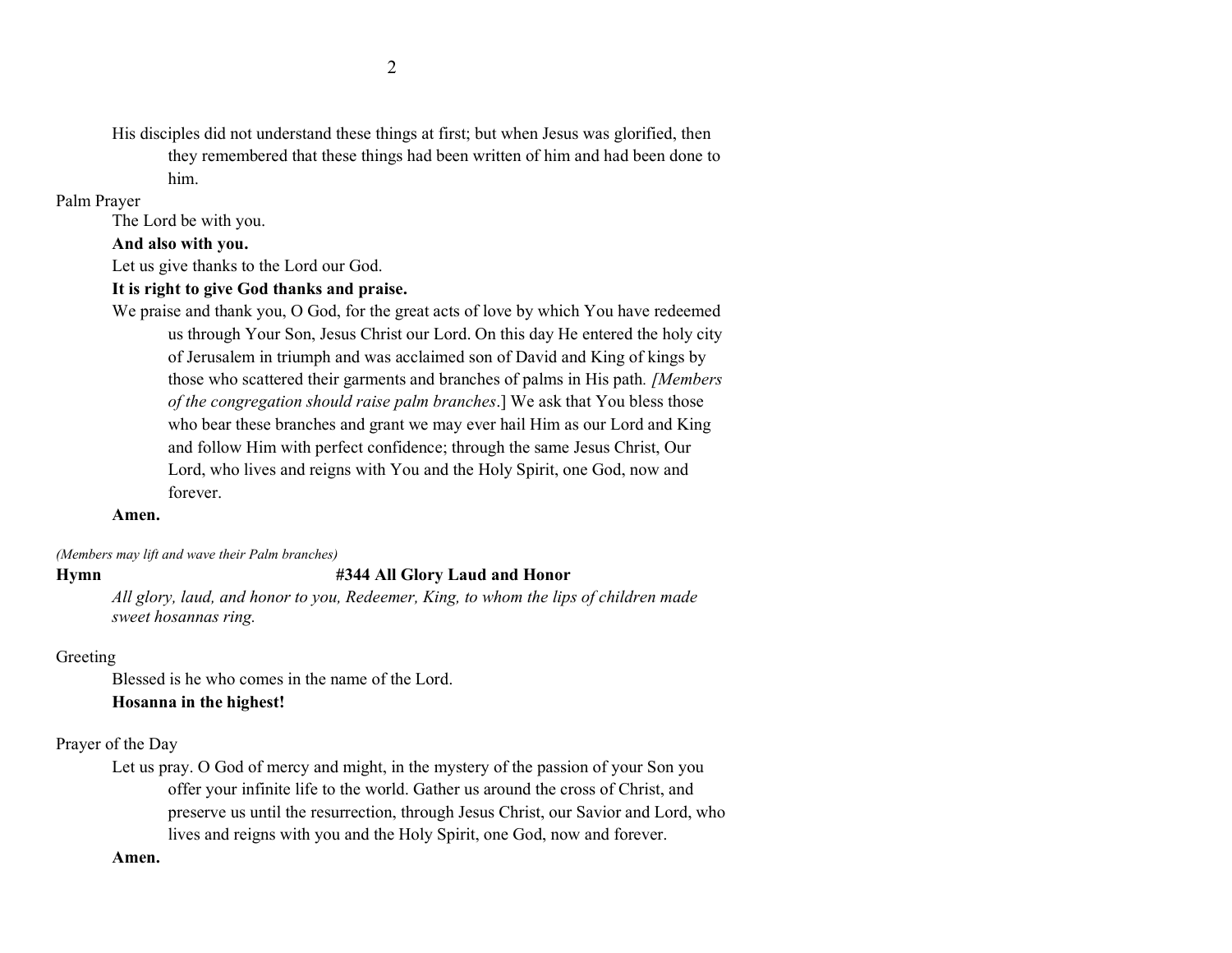His disciples did not understand these things at first; but when Jesus was glorified, then they remembered that these things had been written of him and had been done to him.

#### Palm Prayer

The Lord be with you.

#### **And also with you.**

Let us give thanks to the Lord our God.

#### **It is right to give God thanks and praise.**

We praise and thank you, O God, for the great acts of love by which You have redeemed us through Your Son, Jesus Christ our Lord. On this day He entered the holy city of Jerusalem in triumph and was acclaimed son of David and King of kings by those who scattered their garments and branches of palms in His path*. [Members of the congregation should raise palm branches*.] We ask that You bless those who bear these branches and grant we may ever hail Him as our Lord and King and follow Him with perfect confidence; through the same Jesus Christ, Our Lord, who lives and reigns with You and the Holy Spirit, one God, now and forever.

#### **Amen.**

*(Members may lift and wave their Palm branches)*

#### **Hymn #344 All Glory Laud and Honor**

*All glory, laud, and honor to you, Redeemer, King, to whom the lips of children made sweet hosannas ring.* 

#### Greeting

Blessed is he who comes in the name of the Lord.

### **Hosanna in the highest!**

#### Prayer of the Day

Let us pray. O God of mercy and might, in the mystery of the passion of your Son you offer your infinite life to the world. Gather us around the cross of Christ, and preserve us until the resurrection, through Jesus Christ, our Savior and Lord, who lives and reigns with you and the Holy Spirit, one God, now and forever.

#### **Amen.**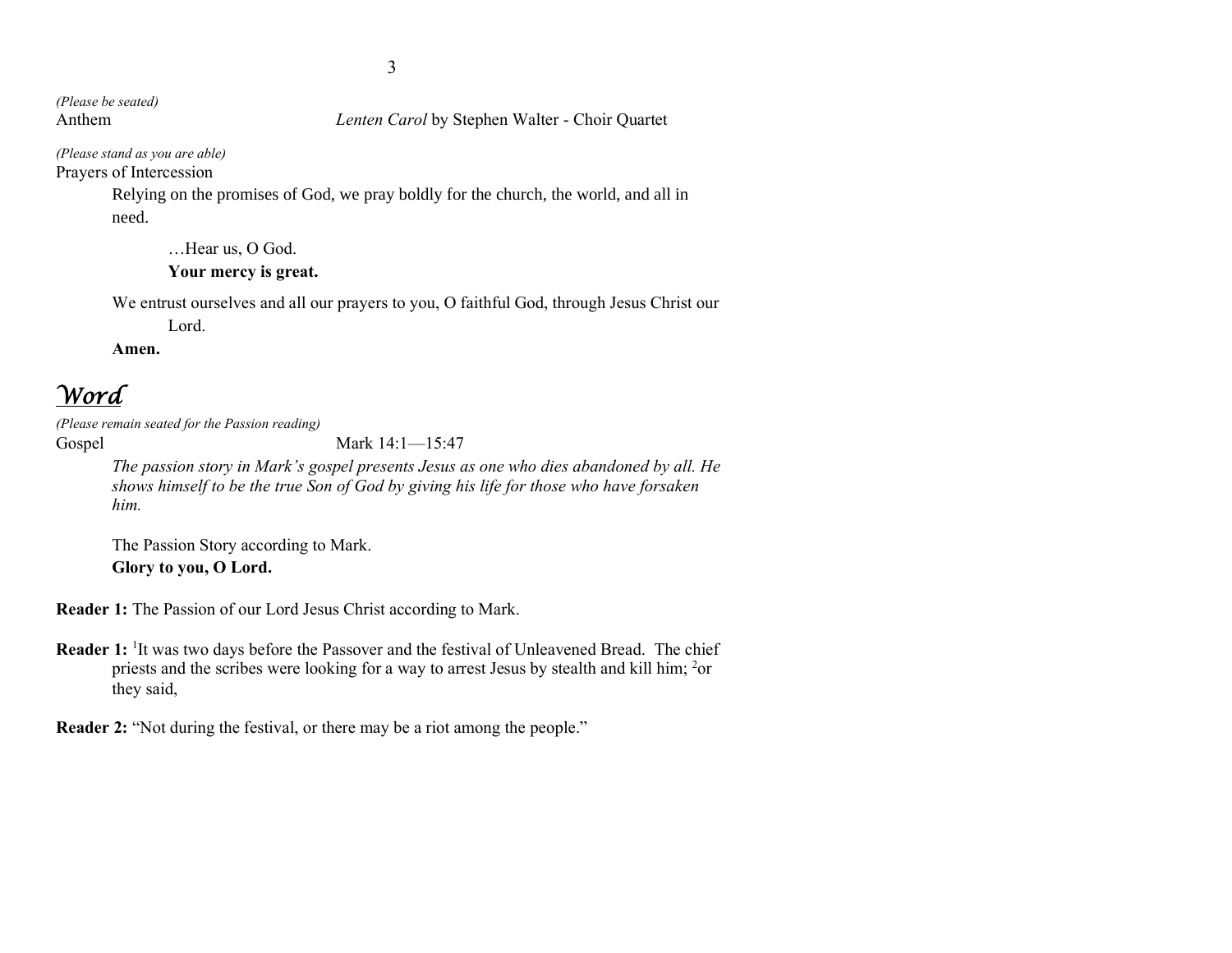*(Please be seated)*

Anthem *Lenten Carol* by Stephen Walter - Choir Quartet

*(Please stand as you are able)* Prayers of Intercession

> Relying on the promises of God, we pray boldly for the church, the world, and all in need.

…Hear us, O God.

#### **Your mercy is great.**

We entrust ourselves and all our prayers to you, O faithful God, through Jesus Christ our

Lord.

**Amen.**

### *Word*

*(Please remain seated for the Passion reading)*

Gospel Mark 14:1—15:47

*The passion story in Mark's gospel presents Jesus as one who dies abandoned by all. He shows himself to be the true Son of God by giving his life for those who have forsaken him.*

The Passion Story according to Mark. **Glory to you, O Lord.**

**Reader 1:** The Passion of our Lord Jesus Christ according to Mark.

Reader 1: <sup>1</sup>It was two days before the Passover and the festival of Unleavened Bread. The chief priests and the scribes were looking for a way to arrest Jesus by stealth and kill him; <sup>2</sup>or they said,

**Reader 2:** "Not during the festival, or there may be a riot among the people."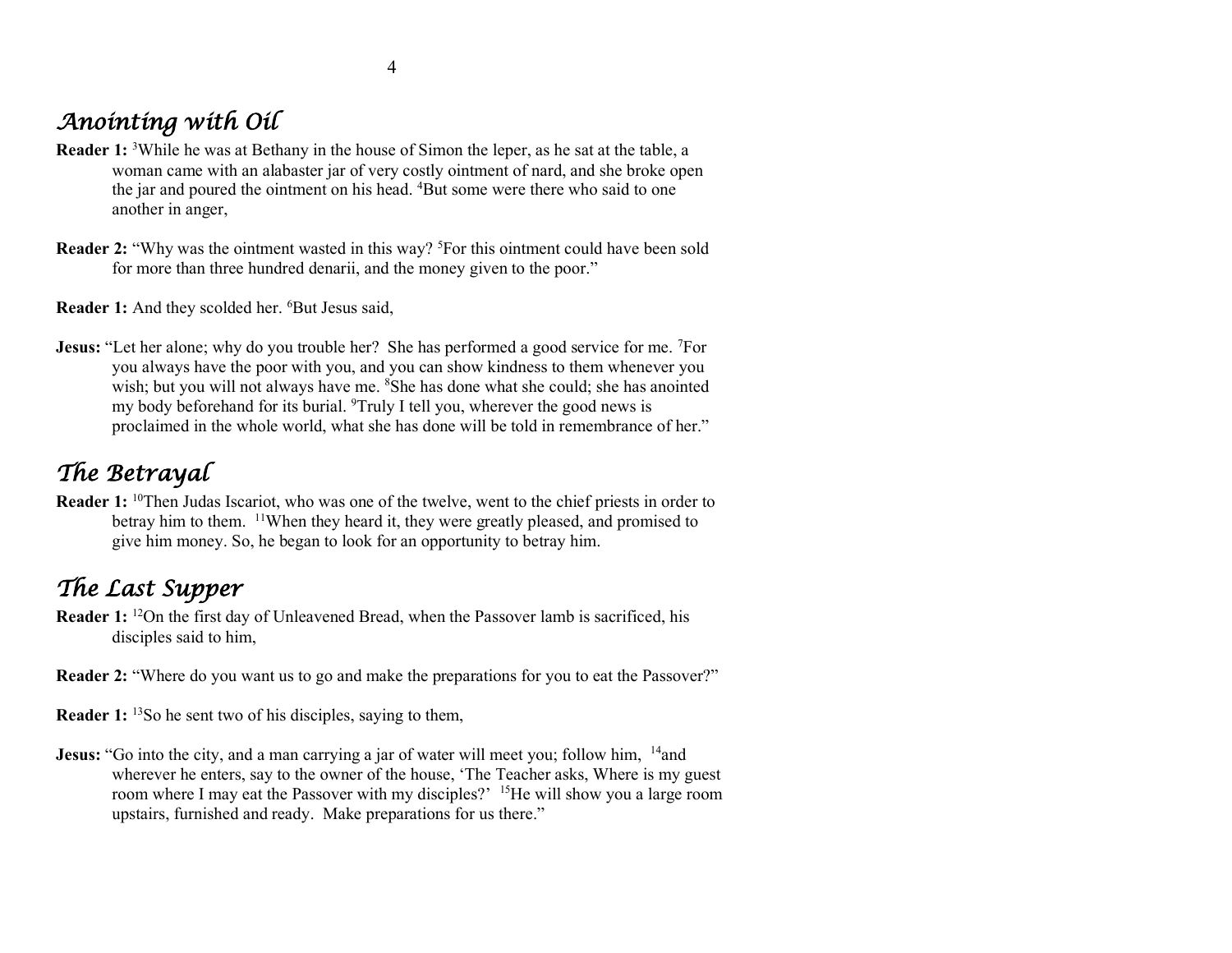# *Anointing with Oil*

- **Reader 1:** <sup>3</sup>While he was at Bethany in the house of Simon the leper, as he sat at the table, a woman came with an alabaster jar of very costly ointment of nard, and she broke open the jar and poured the ointment on his head. <sup>4</sup>But some were there who said to one another in anger,
- **Reader 2:** "Why was the ointment wasted in this way? <sup>5</sup>For this ointment could have been sold for more than three hundred denarii, and the money given to the poor."

Reader 1: And they scolded her. <sup>6</sup>But Jesus said,

**Jesus:** "Let her alone; why do you trouble her? She has performed a good service for me. <sup>7</sup>For you always have the poor with you, and you can show kindness to them whenever you wish; but you will not always have me. <sup>8</sup>She has done what she could; she has anointed my body beforehand for its burial. <sup>9</sup>Truly I tell you, wherever the good news is proclaimed in the whole world, what she has done will be told in remembrance of her."

## *The Betrayal*

**Reader 1:** <sup>10</sup>Then Judas Iscariot, who was one of the twelve, went to the chief priests in order to betray him to them. <sup>11</sup>When they heard it, they were greatly pleased, and promised to give him money. So, he began to look for an opportunity to betray him.

## *The Last Supper*

- **Reader 1:** <sup>12</sup>On the first day of Unleavened Bread, when the Passover lamb is sacrificed, his disciples said to him,
- **Reader 2:** "Where do you want us to go and make the preparations for you to eat the Passover?"
- **Reader 1:** <sup>13</sup>So he sent two of his disciples, saying to them,
- **Jesus:** "Go into the city, and a man carrying a jar of water will meet you; follow him, <sup>14</sup>and wherever he enters, say to the owner of the house, 'The Teacher asks, Where is my guest room where I may eat the Passover with my disciples?' <sup>15</sup>He will show you a large room upstairs, furnished and ready. Make preparations for us there."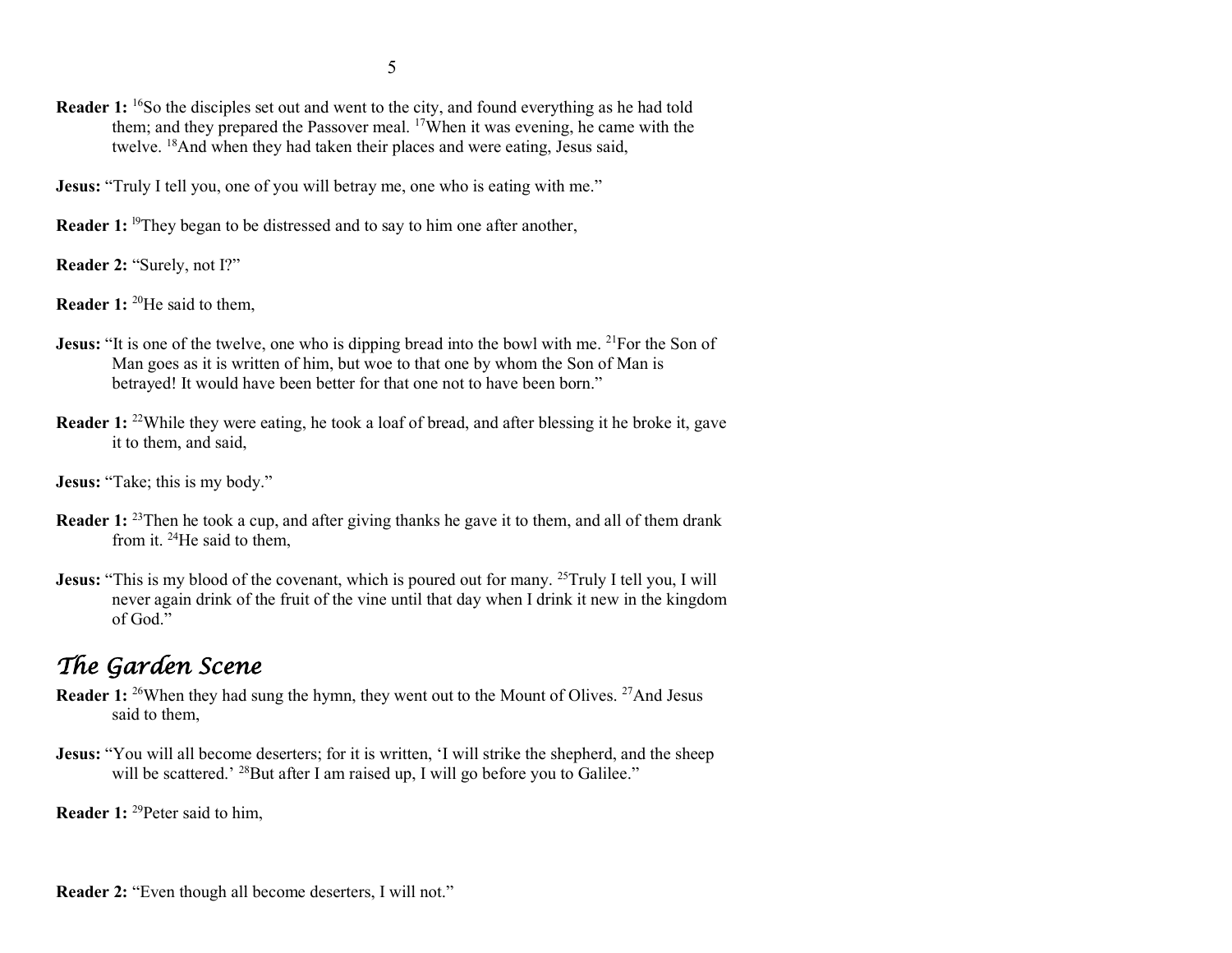- 5
- **Reader 1:** <sup>16</sup>So the disciples set out and went to the city, and found everything as he had told them; and they prepared the Passover meal. <sup>17</sup>When it was evening, he came with the twelve. <sup>18</sup>And when they had taken their places and were eating, Jesus said,
- **Jesus:** "Truly I tell you, one of you will betray me, one who is eating with me."
- **Reader 1:** <sup>19</sup>They began to be distressed and to say to him one after another,
- **Reader 2:** "Surely, not I?"
- **Reader 1:** <sup>20</sup>He said to them,
- **Jesus:** "It is one of the twelve, one who is dipping bread into the bowl with me. <sup>21</sup>For the Son of Man goes as it is written of him, but woe to that one by whom the Son of Man is betrayed! It would have been better for that one not to have been born."
- **Reader 1:** <sup>22</sup>While they were eating, he took a loaf of bread, and after blessing it he broke it, gave it to them, and said,
- **Jesus:** "Take: this is my body."
- **Reader 1:** <sup>23</sup>Then he took a cup, and after giving thanks he gave it to them, and all of them drank from it. <sup>24</sup>He said to them,
- **Jesus:** "This is my blood of the covenant, which is poured out for many. <sup>25</sup>Truly I tell you, I will never again drink of the fruit of the vine until that day when I drink it new in the kingdom of God."

## *The Garden Scene*

- **Reader 1:** <sup>26</sup>When they had sung the hymn, they went out to the Mount of Olives. <sup>27</sup>And Jesus said to them,
- **Jesus:** "You will all become deserters; for it is written, 'I will strike the shepherd, and the sheep will be scattered.' <sup>28</sup>But after I am raised up, I will go before you to Galilee."

**Reader 1:** <sup>29</sup>Peter said to him,

**Reader 2:** "Even though all become deserters, I will not."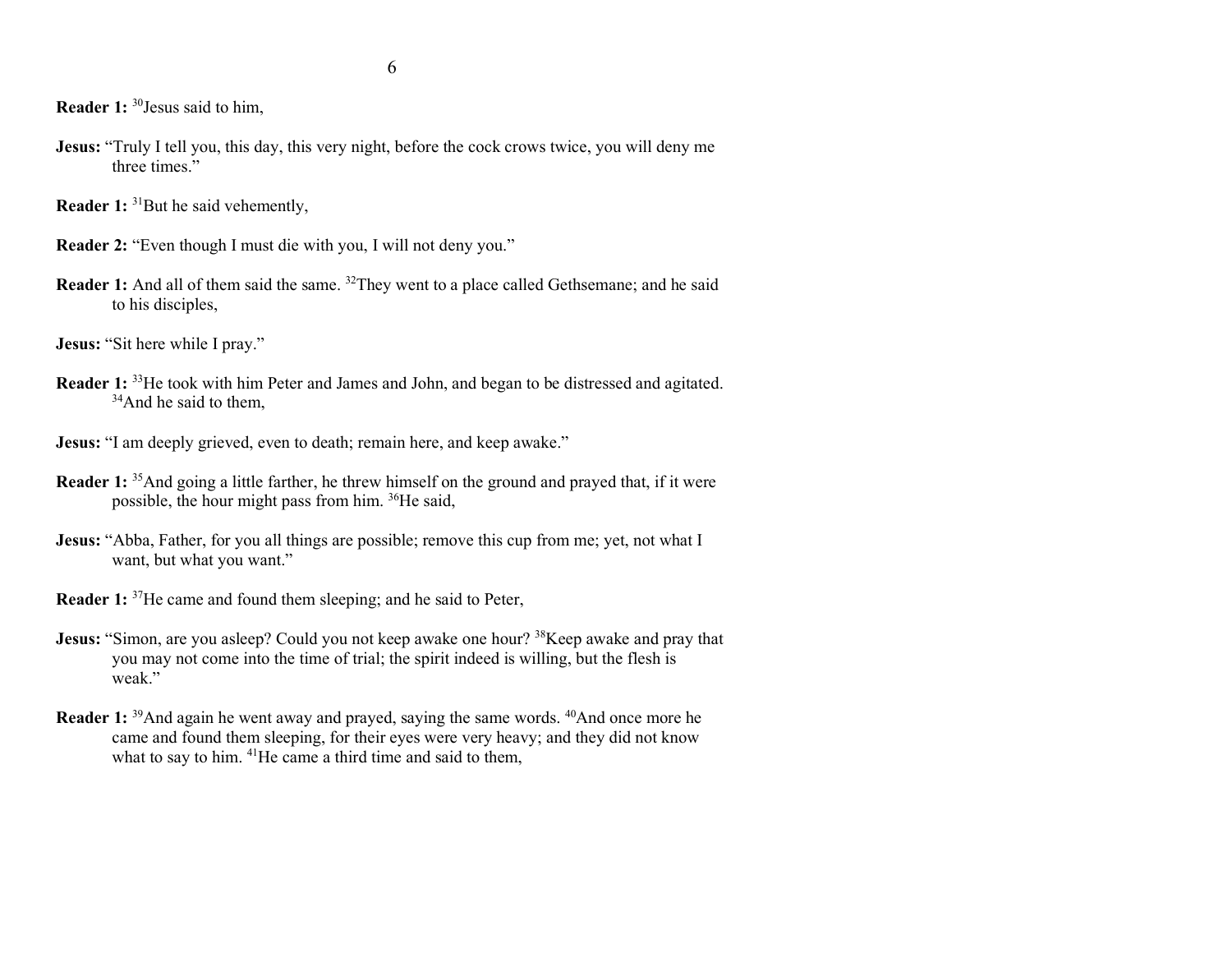**Reader 1:** <sup>30</sup>Jesus said to him,

- **Jesus:** "Truly I tell you, this day, this very night, before the cock crows twice, you will deny me three times."
- **Reader 1:** <sup>31</sup>But he said vehemently,
- **Reader 2:** "Even though I must die with you, I will not deny you."
- **Reader 1:** And all of them said the same. <sup>32</sup>They went to a place called Gethsemane; and he said to his disciples,
- **Jesus:** "Sit here while I pray."
- **Reader 1:** <sup>33</sup>He took with him Peter and James and John, and began to be distressed and agitated.  $34$ And he said to them,
- **Jesus:** "I am deeply grieved, even to death; remain here, and keep awake."
- **Reader 1:** <sup>35</sup>And going a little farther, he threw himself on the ground and prayed that, if it were possible, the hour might pass from him. <sup>36</sup>He said,
- **Jesus:** "Abba, Father, for you all things are possible; remove this cup from me; yet, not what I want, but what you want."
- **Reader 1:** <sup>37</sup>He came and found them sleeping; and he said to Peter,
- **Jesus:** "Simon, are you asleep? Could you not keep awake one hour? <sup>38</sup>Keep awake and pray that you may not come into the time of trial; the spirit indeed is willing, but the flesh is weak."
- **Reader 1:** <sup>39</sup>And again he went away and prayed, saying the same words. <sup>40</sup>And once more he came and found them sleeping, for their eyes were very heavy; and they did not know what to say to him. <sup>41</sup>He came a third time and said to them,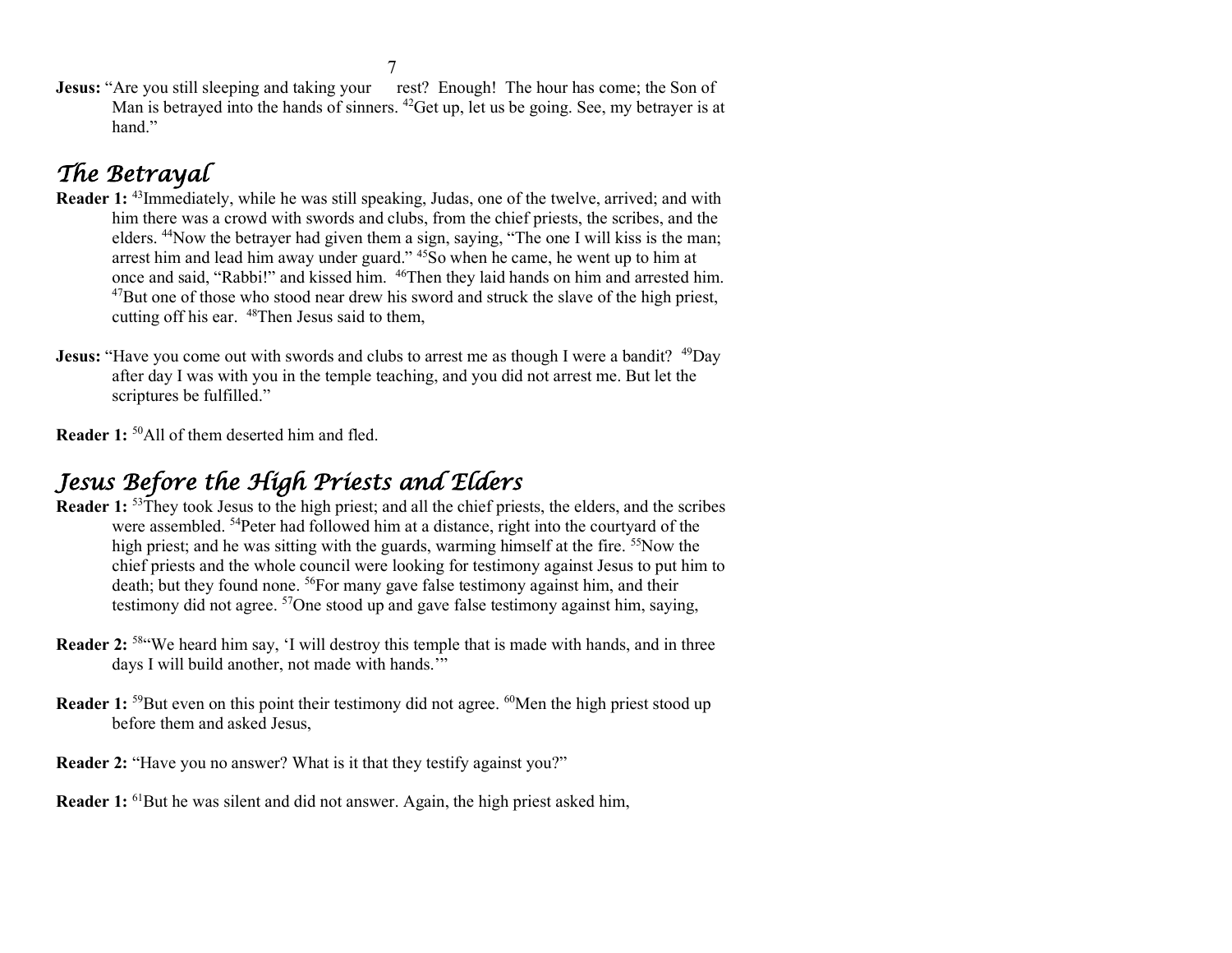**Jesus:** "Are you still sleeping and taking your rest? Enough! The hour has come; the Son of Man is betrayed into the hands of sinners. <sup>42</sup>Get up, let us be going. See, my betrayer is at hand."

# *The Betrayal*

- **Reader 1:** <sup>43</sup>Immediately, while he was still speaking, Judas, one of the twelve, arrived; and with him there was a crowd with swords and clubs, from the chief priests, the scribes, and the elders. <sup>44</sup>Now the betrayer had given them a sign, saying, "The one I will kiss is the man; arrest him and lead him away under guard." <sup>45</sup>So when he came, he went up to him at once and said, "Rabbi!" and kissed him. <sup>46</sup>Then they laid hands on him and arrested him.  $47$ But one of those who stood near drew his sword and struck the slave of the high priest, cutting off his ear. <sup>48</sup>Then Jesus said to them,
- **Jesus:** "Have you come out with swords and clubs to arrest me as though I were a bandit? <sup>49</sup>Day after day I was with you in the temple teaching, and you did not arrest me. But let the scriptures be fulfilled."
- **Reader 1:** <sup>50</sup>All of them deserted him and fled.

## *Jesus Before the High Priests and Elders*

- **Reader 1:** <sup>53</sup>They took Jesus to the high priest; and all the chief priests, the elders, and the scribes were assembled. <sup>54</sup>Peter had followed him at a distance, right into the courtyard of the high priest; and he was sitting with the guards, warming himself at the fire. <sup>55</sup>Now the chief priests and the whole council were looking for testimony against Jesus to put him to death; but they found none. <sup>56</sup>For many gave false testimony against him, and their testimony did not agree. <sup>57</sup>One stood up and gave false testimony against him, saying,
- **Reader 2:** <sup>58</sup>"We heard him say, 'I will destroy this temple that is made with hands, and in three days I will build another, not made with hands."
- **Reader 1:** <sup>59</sup>But even on this point their testimony did not agree. <sup>60</sup>Men the high priest stood up before them and asked Jesus,
- **Reader 2:** "Have you no answer? What is it that they testify against you?"
- **Reader 1:** <sup>61</sup>But he was silent and did not answer. Again, the high priest asked him,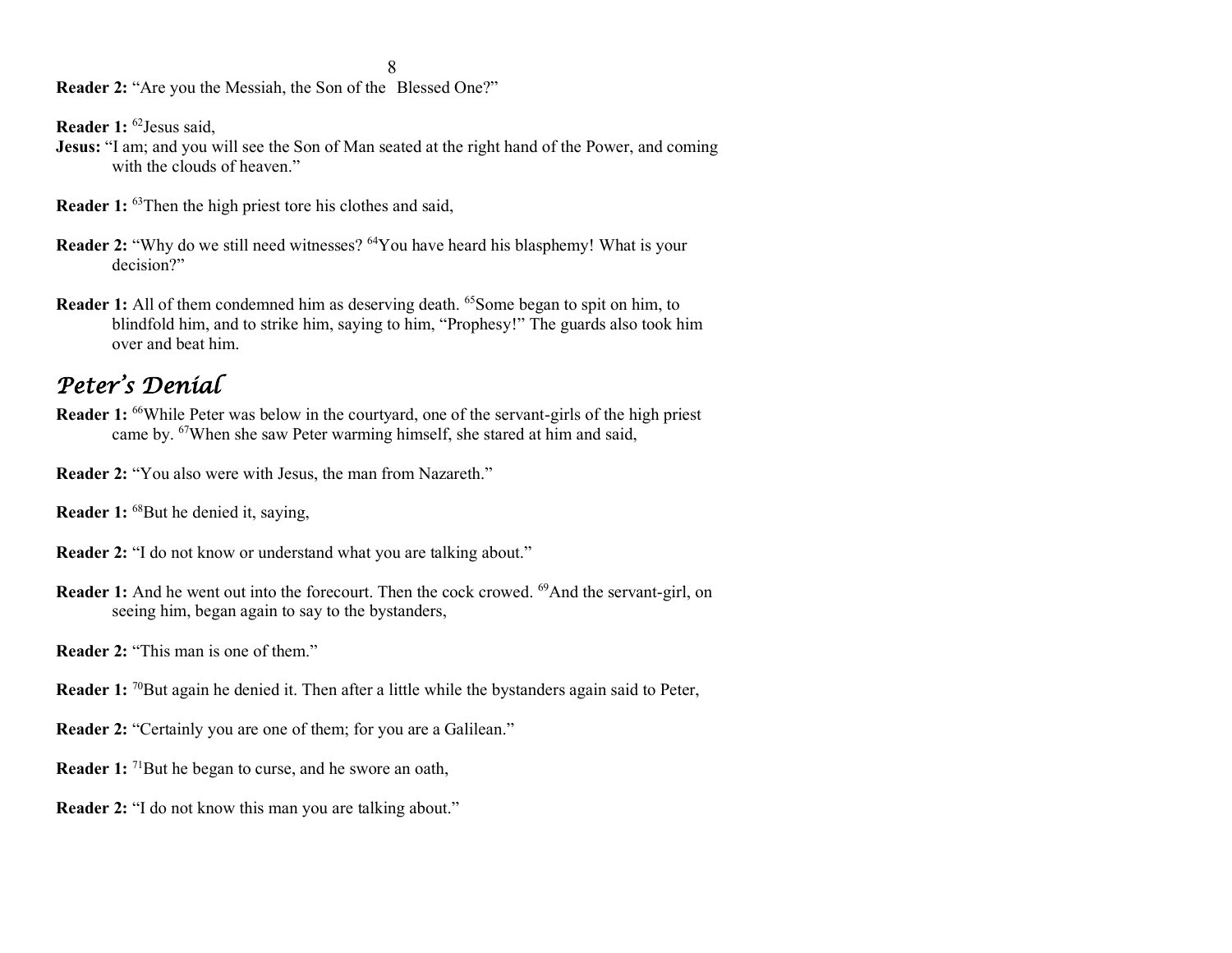8

**Reader 2:** "Are you the Messiah, the Son of the Blessed One?"

**Reader 1:** <sup>62</sup>Jesus said,

- **Jesus:** "I am; and you will see the Son of Man seated at the right hand of the Power, and coming with the clouds of heaven."
- **Reader 1:** <sup>63</sup>Then the high priest tore his clothes and said,
- **Reader 2:** "Why do we still need witnesses? <sup>64</sup>You have heard his blasphemy! What is your decision?"
- **Reader 1:** All of them condemned him as deserving death. <sup>65</sup>Some began to spit on him, to blindfold him, and to strike him, saying to him, "Prophesy!" The guards also took him over and beat him.

### *Peter's Denial*

- **Reader 1:** <sup>66</sup>While Peter was below in the courtyard, one of the servant-girls of the high priest came by. <sup>67</sup>When she saw Peter warming himself, she stared at him and said,
- **Reader 2:** "You also were with Jesus, the man from Nazareth."
- **Reader 1:** <sup>68</sup>But he denied it, saying,
- **Reader 2:** "I do not know or understand what you are talking about."
- **Reader 1:** And he went out into the forecourt. Then the cock crowed. <sup>69</sup>And the servant-girl, on seeing him, began again to say to the bystanders,
- **Reader 2: "This man is one of them."**
- **Reader 1:** <sup>70</sup>But again he denied it. Then after a little while the bystanders again said to Peter,
- **Reader 2:** "Certainly you are one of them; for you are a Galilean."
- **Reader 1:** <sup>71</sup>But he began to curse, and he swore an oath,
- **Reader 2:** "I do not know this man you are talking about."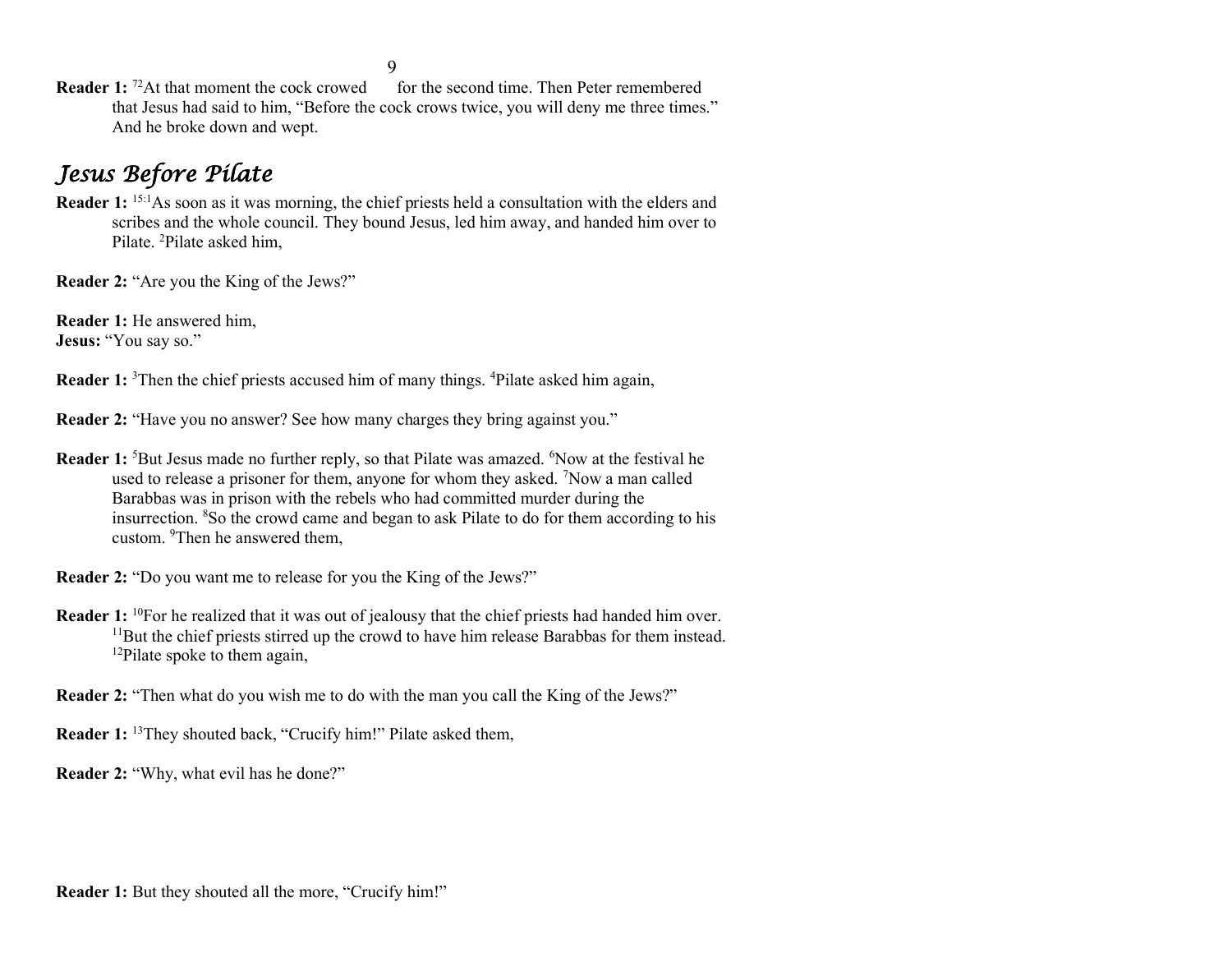**Reader 1:** <sup>72</sup>At that moment the cock crowed for the second time. Then Peter remembered that Jesus had said to him, "Before the cock crows twice, you will deny me three times." And he broke down and wept.

# *Jesus Before Pilate*

**Reader 1:** <sup>15:1</sup>As soon as it was morning, the chief priests held a consultation with the elders and scribes and the whole council. They bound Jesus, led him away, and handed him over to Pilate. <sup>2</sup>Pilate asked him,

**Reader 2:** "Are you the King of the Jews?"

**Reader 1:** He answered him, **Jesus:** "You say so."

**Reader 1:** <sup>3</sup>Then the chief priests accused him of many things. <sup>4</sup>Pilate asked him again,

**Reader 2:** "Have you no answer? See how many charges they bring against you."

- **Reader 1:** <sup>5</sup>But Jesus made no further reply, so that Pilate was amazed. <sup>6</sup>Now at the festival he used to release a prisoner for them, anyone for whom they asked.  $7$ Now a man called Barabbas was in prison with the rebels who had committed murder during the insurrection. <sup>8</sup>So the crowd came and began to ask Pilate to do for them according to his custom. <sup>9</sup>Then he answered them,
- **Reader 2:** "Do you want me to release for you the King of the Jews?"
- **Reader 1:** <sup>10</sup>For he realized that it was out of jealousy that the chief priests had handed him over. <sup>11</sup>But the chief priests stirred up the crowd to have him release Barabbas for them instead.  $12P$ ilate spoke to them again,
- **Reader 2:** "Then what do you wish me to do with the man you call the King of the Jews?"
- **Reader 1:** <sup>13</sup>They shouted back, "Crucify him!" Pilate asked them,
- **Reader 2: "Why, what evil has he done?"**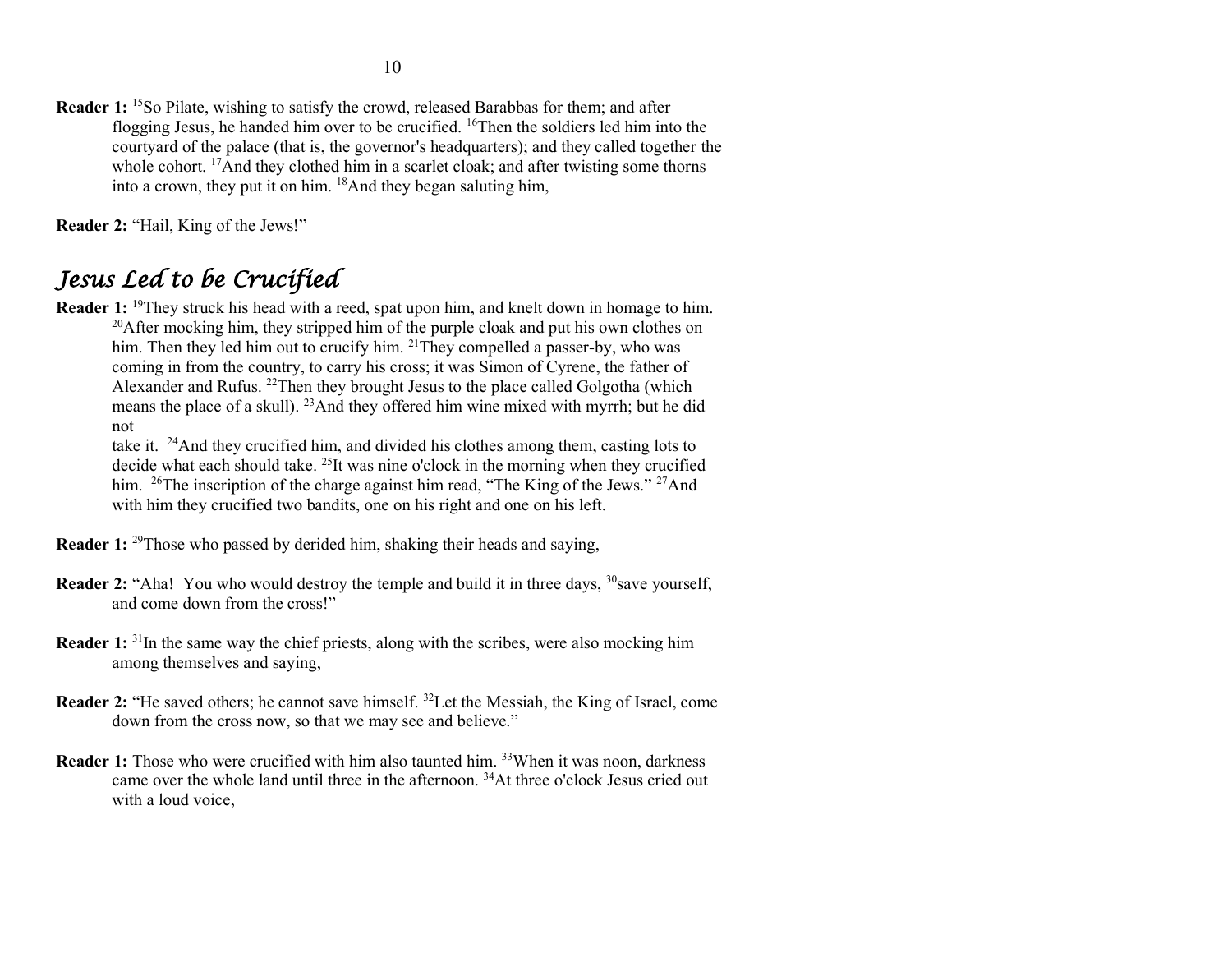**Reader 1:** <sup>15</sup>So Pilate, wishing to satisfy the crowd, released Barabbas for them; and after flogging Jesus, he handed him over to be crucified. <sup>16</sup>Then the soldiers led him into the courtyard of the palace (that is, the governor's headquarters); and they called together the whole cohort. <sup>17</sup>And they clothed him in a scarlet cloak; and after twisting some thorns into a crown, they put it on him. <sup>18</sup>And they began saluting him,

**Reader 2:** "Hail, King of the Jews!"

### *Jesus Led to be Crucified*

**Reader 1:** <sup>19</sup>They struck his head with a reed, spat upon him, and knelt down in homage to him. <sup>20</sup>After mocking him, they stripped him of the purple cloak and put his own clothes on him. Then they led him out to crucify him. <sup>21</sup>They compelled a passer-by, who was coming in from the country, to carry his cross; it was Simon of Cyrene, the father of Alexander and Rufus. <sup>22</sup>Then they brought Jesus to the place called Golgotha (which means the place of a skull). <sup>23</sup>And they offered him wine mixed with myrrh; but he did not

take it. <sup>24</sup>And they crucified him, and divided his clothes among them, casting lots to decide what each should take. <sup>25</sup>It was nine o'clock in the morning when they crucified him. <sup>26</sup>The inscription of the charge against him read, "The King of the Jews." <sup>27</sup>And with him they crucified two bandits, one on his right and one on his left.

- **Reader 1:** <sup>29</sup>Those who passed by derided him, shaking their heads and saying,
- **Reader 2:** "Aha! You who would destroy the temple and build it in three days, <sup>30</sup>save yourself, and come down from the cross!"
- **Reader 1:** <sup>31</sup>In the same way the chief priests, along with the scribes, were also mocking him among themselves and saying,
- **Reader 2:** "He saved others; he cannot save himself. <sup>32</sup>Let the Messiah, the King of Israel, come down from the cross now, so that we may see and believe."
- **Reader 1:** Those who were crucified with him also taunted him. <sup>33</sup>When it was noon, darkness came over the whole land until three in the afternoon. <sup>34</sup>At three o'clock Jesus cried out with a loud voice,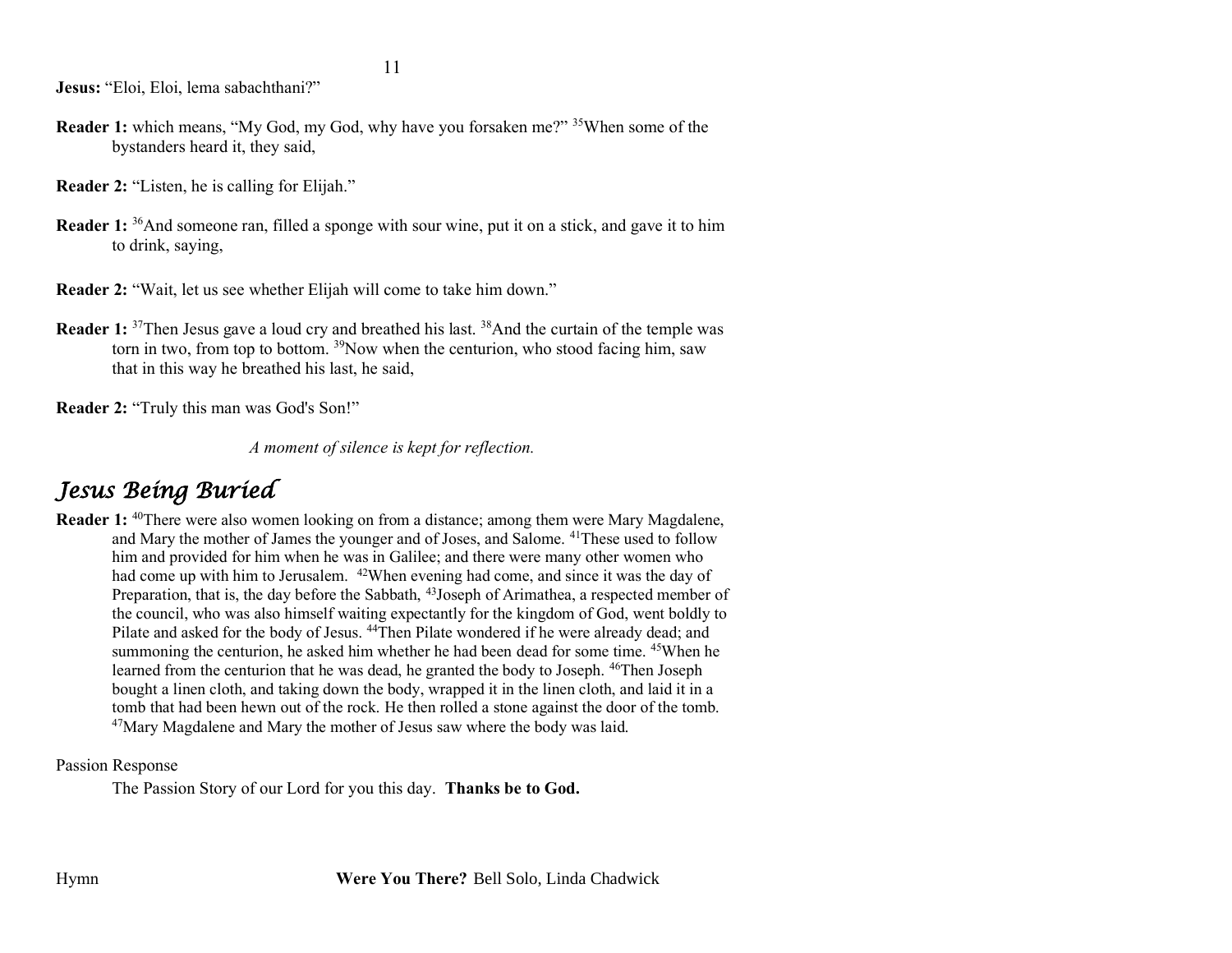**Jesus:** "Eloi, Eloi, lema sabachthani?"

- **Reader 1:** which means, "My God, my God, why have you forsaken me?" <sup>35</sup>When some of the bystanders heard it, they said,
- **Reader 2:** "Listen, he is calling for Elijah."
- **Reader 1:** <sup>36</sup>And someone ran, filled a sponge with sour wine, put it on a stick, and gave it to him to drink, saying,
- **Reader 2:** "Wait, let us see whether Elijah will come to take him down."
- **Reader 1:** <sup>37</sup>Then Jesus gave a loud cry and breathed his last. <sup>38</sup>And the curtain of the temple was torn in two, from top to bottom.  $39$ Now when the centurion, who stood facing him, saw that in this way he breathed his last, he said,

**Reader 2:** "Truly this man was God's Son!"

*A moment of silence is kept for reflection.*

### *Jesus Being Buried*

**Reader 1:** <sup>40</sup>There were also women looking on from a distance; among them were Mary Magdalene, and Mary the mother of James the younger and of Joses, and Salome. <sup>41</sup>These used to follow him and provided for him when he was in Galilee; and there were many other women who had come up with him to Jerusalem. <sup>42</sup>When evening had come, and since it was the day of Preparation, that is, the day before the Sabbath, <sup>43</sup>Joseph of Arimathea, a respected member of the council, who was also himself waiting expectantly for the kingdom of God, went boldly to Pilate and asked for the body of Jesus. <sup>44</sup>Then Pilate wondered if he were already dead; and summoning the centurion, he asked him whether he had been dead for some time. <sup>45</sup>When he learned from the centurion that he was dead, he granted the body to Joseph. <sup>46</sup>Then Joseph bought a linen cloth, and taking down the body, wrapped it in the linen cloth, and laid it in a tomb that had been hewn out of the rock. He then rolled a stone against the door of the tomb.  $47$ Mary Magdalene and Mary the mother of Jesus saw where the body was laid.

Passion Response

The Passion Story of our Lord for you this day. **Thanks be to God.**